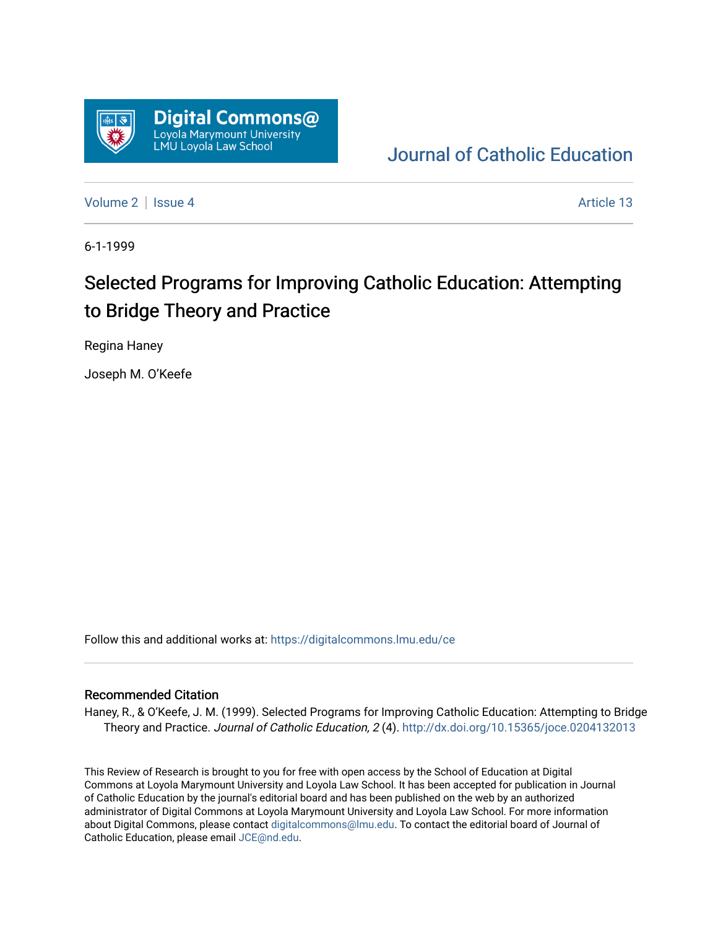

## [Journal of Catholic Education](https://digitalcommons.lmu.edu/ce)

[Volume 2](https://digitalcommons.lmu.edu/ce/vol2) | [Issue 4](https://digitalcommons.lmu.edu/ce/vol2/iss4) Article 13

6-1-1999

## Selected Programs for Improving Catholic Education: Attempting to Bridge Theory and Practice

Regina Haney

Joseph M. O'Keefe

Follow this and additional works at: [https://digitalcommons.lmu.edu/ce](https://digitalcommons.lmu.edu/ce?utm_source=digitalcommons.lmu.edu%2Fce%2Fvol2%2Fiss4%2F13&utm_medium=PDF&utm_campaign=PDFCoverPages)

## Recommended Citation

Haney, R., & O'Keefe, J. M. (1999). Selected Programs for Improving Catholic Education: Attempting to Bridge Theory and Practice. Journal of Catholic Education, 2 (4).<http://dx.doi.org/10.15365/joce.0204132013>

This Review of Research is brought to you for free with open access by the School of Education at Digital Commons at Loyola Marymount University and Loyola Law School. It has been accepted for publication in Journal of Catholic Education by the journal's editorial board and has been published on the web by an authorized administrator of Digital Commons at Loyola Marymount University and Loyola Law School. For more information about Digital Commons, please contact [digitalcommons@lmu.edu](mailto:digitalcommons@lmu.edu). To contact the editorial board of Journal of Catholic Education, please email [JCE@nd.edu.](mailto:JCE@nd.edu)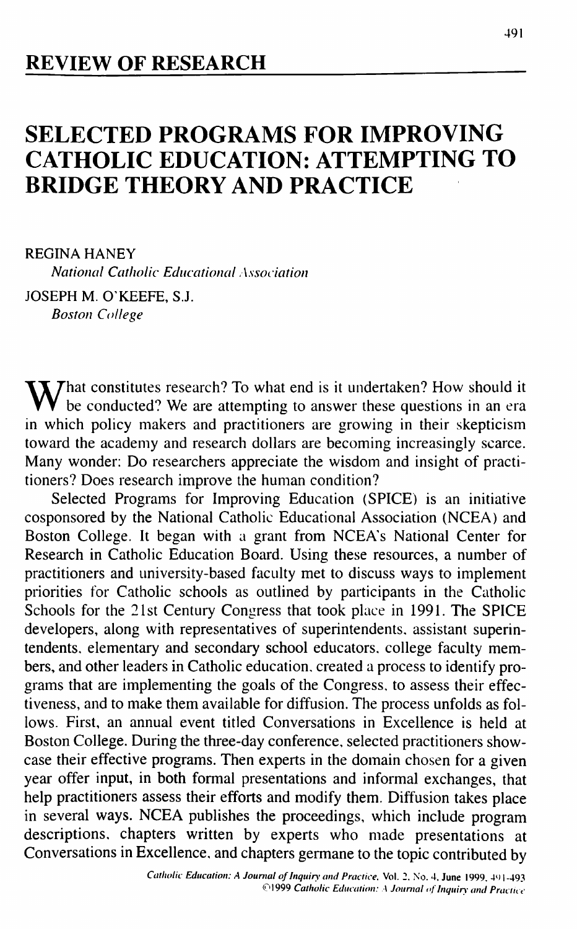## **SELECTED PROGRAMS FOR IMPROVING CATHOLIC EDUCATION: ATTEMPTING TO BRIDGE THEORY AND PRACTICE**

REGINA HANEY

*National Catholic Educational Association*

JOSEPH M. O'KEEFE, S.J. *Boston College*

What constitutes research? To what end is it undertaken? How should it be conducted? We are attempting to answer these questions in an era in which policy makers and practitioners are growing in their skepticism toward the academy and research dollars are becoming increasingly scarce. Many wonder: Do researchers appreciate the wisdom and insight of practitioners? Does research improve the human condition?

Selected Programs for Improving Education (SPICE) is an initiative cosponsored by the National Catholic Educational Association (NCEA) and Boston College. It began with a grant from NCEA's National Center for Research in Catholic Education Board. Using these resources, a number of practitioners and university-based faculty met to discuss ways to implement priorities for Catholic schools as outlined by participants in the Catholic Schools for the 21st Century Congress that took place in 1991. The SPICE developers, along with representatives of superintendents, assistant superintendents, elementary and secondary school educators, college faculty members, and other leaders in Catholic education, created a process to identify programs that are implementing the goals of the Congress, to assess their effectiveness, and to make them available for diffusion. The process unfolds as follows. First, an annual event titled Conversations in Excellence is held at Boston College. During the three-day conference, selected practitioners showcase their effective programs. Then experts in the domain chosen for a given year offer input, in both formal presentations and informal exchanges, that help practitioners assess their efforts and modify them. Diffusion takes place in several ways. NCEA publishes the proceedings, which include program descriptions, chapters written by experts who made presentations at Conversations in Excellence, and chapters germane to the topic contributed by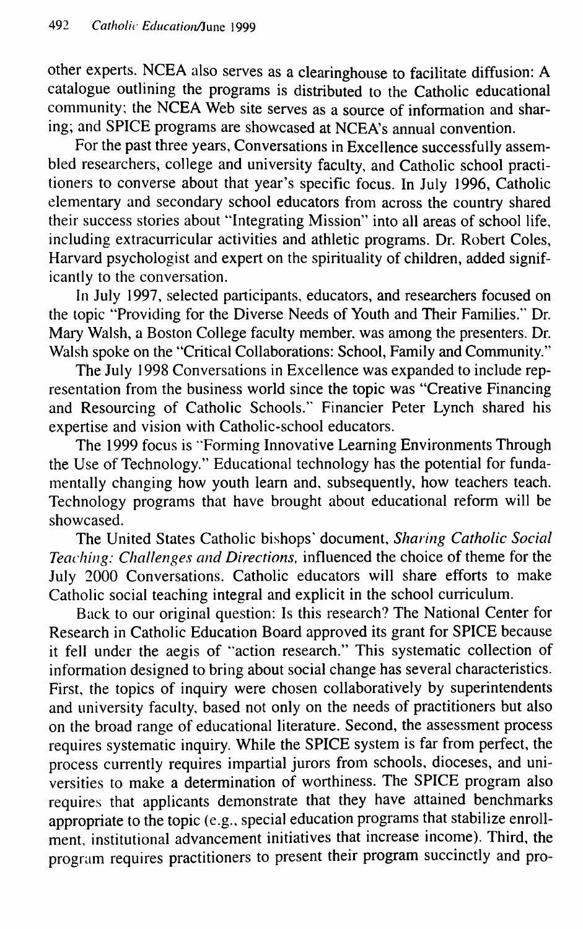Other experts. NCEA also serves as a clearinghouse to facilitate diffusion: A catalogue outlining the programs is distributed to the Catholic educational community; the NCEA Web site serves as a source of information and sharing; and SPICE programs are showcased at NCEA's annual convention.

For the past three years. Conversations in Excellence successfully assembled researchers, college and university faculty, and Catholic school practitioners to converse about that year's specific focus. In July 1996, Catholic elementary and secondary school educators from across the country shared their success stories about "Integrating Mission" into all areas of school life, including extracurricular activities and athletic programs. Dr. Robert Coles, Harvard psychologist and expert on the spirituality of children, added significantly to the conversation.

In July 1997, selected participants, educators, and researchers focused on the topic "Providing for the Diverse Needs of Youth and Their Families." Dr. Mary Walsh, a Boston College faculty member, was among the presenters. Dr. Walsh spoke on the "Critical Collaborations: School, Family and Community."

The July 1998 Conversations in Excellence was expanded to include representation from the business world since the topic was "Creative Financing and Resourcing of Catholic Schools." Financier Peter Lynch shared his expertise and vision with Catholic-school educators.

The 1999 focus is "Forming Innovative Leaming Environments Through the Use of Technology." Educational technology has the potential for fundamentally changing how youth learn and, subsequently, how teachers teach. Technology programs that have brought about educational reform will be showcased.

The United States Catholic bishops' document. *Sharing Catholic Social Teaching: Challenges and Directions,* **influenced the choice of theme for the** July 2000 Conversations. Catholic educators will share efforts to make Catholic social teaching integral and explicit in the school curriculum.

Back to our original question: Is this research? The National Center for Research in Catholic Education Board approved its grant for SPICE because it fell under the aegis of "action research." This systematic collection of information designed to bring about social change has several characteristics. First, the topics of inquiry were chosen collaboratively by superintendents and university faculty, based not only on the needs of practitioners but also on the broad range of educational literature. Second, the assessment process requires systematic inquiry. While the SPICE system is far from perfect, the process currently requires impartial jurors from schools, dioceses, and universities to make a determination of worthiness. The SPICE program also requires that applicants demonstrate that they have attained benchmarks appropriate to the topic (e.g., special education programs that stabilize enrollment, institutional advancement initiatives that increase income). Third, the program requires practitioners to present their program succinctly and pro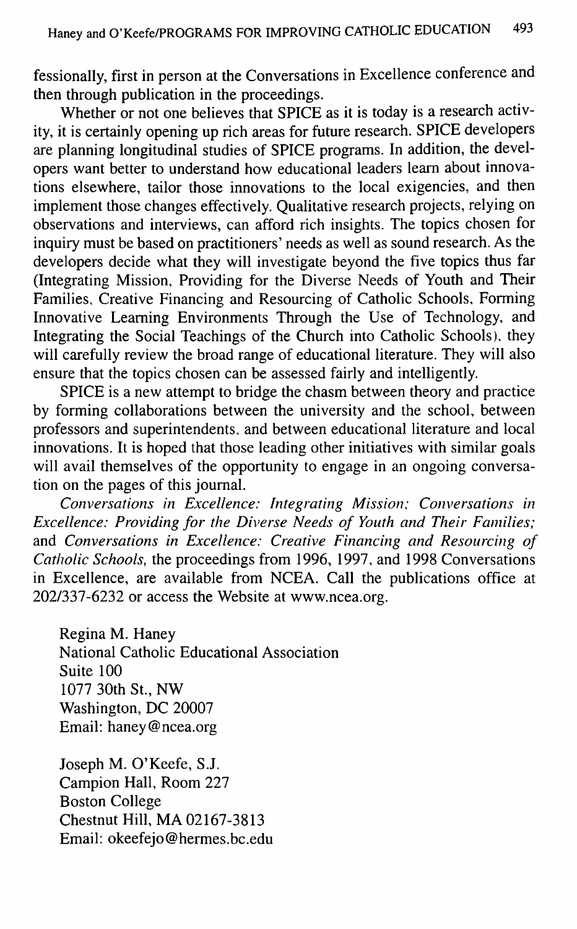fessionally, first in person at the Conversations in Excellence conference and then through publication in the proceedings.

Whether or not one believes that SPICE as it is today is a research activity, it is certainly opening up rich areas for future research. SPICE developers are planning longitudinal studies of SPICE programs. In addition, the developers want better to understand how educational leaders leam about innovations elsewhere, tailor those innovations to the local exigencies, and then implement those changes effectively. Qualitative research projects, relying on observations and interviews, can afford rich insights. The topics chosen for inquiry must be based on practitioners' needs as well as sound research. As the developers decide what they will investigate beyond the five topics thus far (Integrating Mission, Providing for the Diverse Needs of Youth and Their Families, Creative Financing and Resourcing of Catholic Schools, Forming Innovative Leaming Environments Through the Use of Technology, and Integrating the Social Teachings of the Church into Catholic Schools), they will carefully review the broad range of educational literature. They will also ensure that the topics chosen can be assessed fairly and intelligently.

SPICE is a new attempt to bridge the chasm between theory and practice by forming collaborations between the university and the school, between professors and superintendents, and between educational literature and local innovations. It is hoped that those leading other initiatives with similar goals will avail themselves of the opportunity to engage in an ongoing conversation on the pages of this joumal.

*Conversations in Excellence: Integrating Mission: Conversations in Excellence: Providing for the Diverse Needs of Youth and Their Eamilies;* and *Conversations in Excellence: Creative Einancing and Resourcing of Catholic Schools,* the proceedings from 1996, 1997, and 1998 Conversations in Excellence, are available from NCEA. Call the publications office at 202/337-6232 or access the Website at www.ncea.org.

Regina M. Haney National Catholic Educational Association Suite 100 1077 30th St., NW Washington, DC 20007 Email: haney@ncea.org

Joseph M. O'Keefe, S.J. Campion Hall, Room 227 Boston College Chestnut Hill, MA 02167-3813 Email: okeefejo@hermes.bc.edu